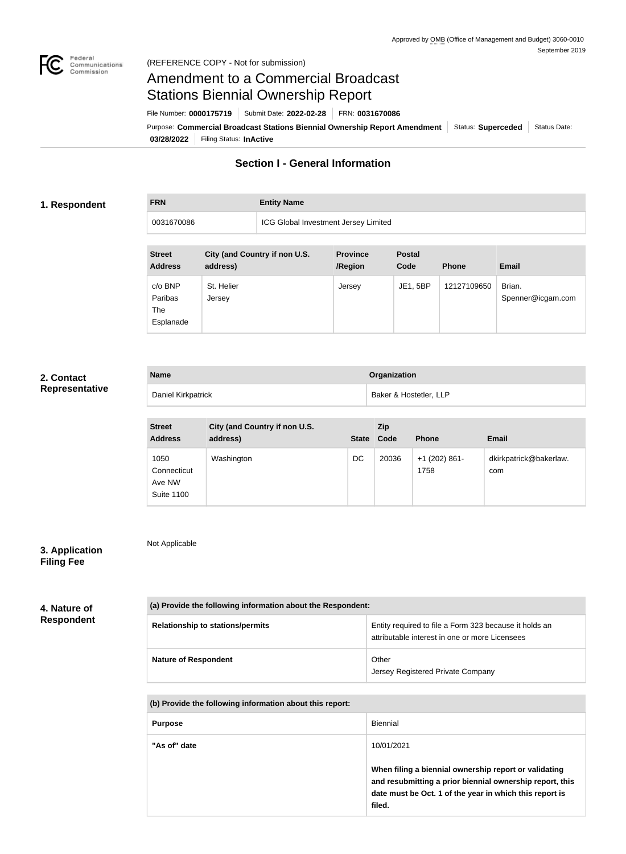

**FRN Entity Name**

# Amendment to a Commercial Broadcast Stations Biennial Ownership Report

File Number: **0000175719** Submit Date: **2022-02-28** FRN: **0031670086**

**03/28/2022** Filing Status: **InActive** Purpose: Commercial Broadcast Stations Biennial Ownership Report Amendment | Status: Superceded | Status Date:

# **Section I - General Information**

#### **1. Respondent**

0031670086 ICG Global Investment Jersey Limited

| <b>Street</b><br><b>Address</b>        | City (and Country if non U.S.<br>address) | <b>Province</b><br>/Region | <b>Postal</b><br>Code | <b>Phone</b> | <b>Email</b>                |
|----------------------------------------|-------------------------------------------|----------------------------|-----------------------|--------------|-----------------------------|
| c/o BNP<br>Paribas<br>The<br>Esplanade | St. Helier<br>Jersey                      | Jersey                     | JE1, 5BP              | 12127109650  | Brian.<br>Spenner@icgam.com |

## **2. Contact Representative**

| <b>Name</b>        | Organization           |
|--------------------|------------------------|
| Daniel Kirkpatrick | Baker & Hostetler, LLP |

| <b>Street</b><br><b>Address</b>                    | City (and Country if non U.S.<br>address) | <b>State</b> | <b>Zip</b><br>Code | <b>Phone</b>            | <b>Email</b>                  |
|----------------------------------------------------|-------------------------------------------|--------------|--------------------|-------------------------|-------------------------------|
| 1050<br>Connecticut<br>Ave NW<br><b>Suite 1100</b> | Washington                                | DC           | 20036              | $+1$ (202) 861-<br>1758 | dkirkpatrick@bakerlaw.<br>com |

# **3. Application**

Not Applicable

# **Filing Fee**

#### **4. Nature of Respondent**

| (a) Provide the following information about the Respondent: |                                                                                                          |  |  |  |
|-------------------------------------------------------------|----------------------------------------------------------------------------------------------------------|--|--|--|
| <b>Relationship to stations/permits</b>                     | Entity required to file a Form 323 because it holds an<br>attributable interest in one or more Licensees |  |  |  |
| <b>Nature of Respondent</b>                                 | Other<br>Jersey Registered Private Company                                                               |  |  |  |

**(b) Provide the following information about this report:**

| <b>Purpose</b> | Biennial                                                                                                                                                                               |
|----------------|----------------------------------------------------------------------------------------------------------------------------------------------------------------------------------------|
| "As of" date   | 10/01/2021                                                                                                                                                                             |
|                | When filing a biennial ownership report or validating<br>and resubmitting a prior biennial ownership report, this<br>date must be Oct. 1 of the year in which this report is<br>filed. |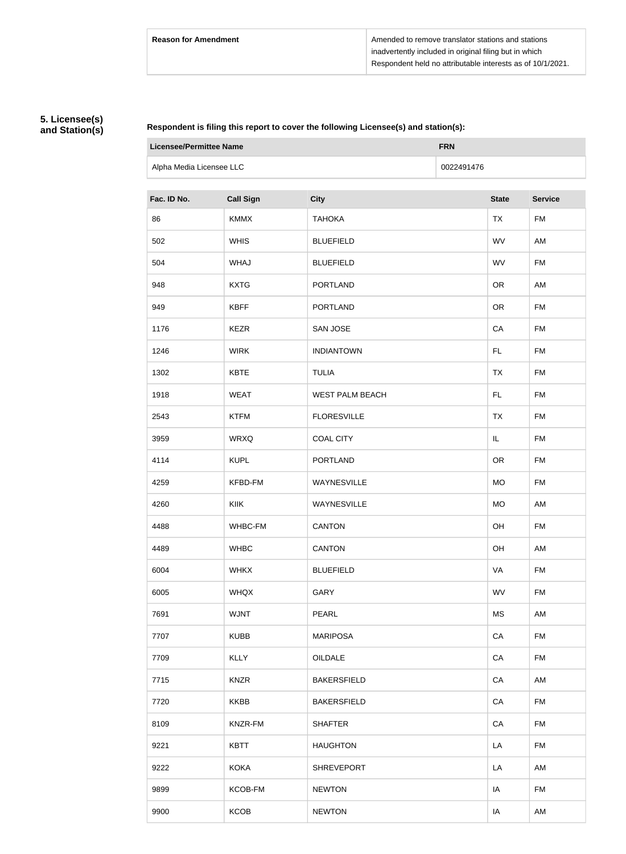# **5. Licensee(s) and Station(s)**

#### **Respondent is filing this report to cover the following Licensee(s) and station(s):**

| <b>Licensee/Permittee Name</b> |                  | <b>FRN</b>             |            |              |                |
|--------------------------------|------------------|------------------------|------------|--------------|----------------|
| Alpha Media Licensee LLC       |                  |                        | 0022491476 |              |                |
| Fac. ID No.                    | <b>Call Sign</b> | <b>City</b>            |            | <b>State</b> | <b>Service</b> |
| 86                             | <b>KMMX</b>      | <b>TAHOKA</b>          |            | <b>TX</b>    | <b>FM</b>      |
| 502                            | <b>WHIS</b>      | <b>BLUEFIELD</b>       |            | WV           | AM             |
| 504                            | WHAJ             | <b>BLUEFIELD</b>       |            | WV           | <b>FM</b>      |
| 948                            | <b>KXTG</b>      | <b>PORTLAND</b>        |            | <b>OR</b>    | AM             |
| 949                            | <b>KBFF</b>      | <b>PORTLAND</b>        |            | <b>OR</b>    | <b>FM</b>      |
| 1176                           | <b>KEZR</b>      | <b>SAN JOSE</b>        |            | CA           | <b>FM</b>      |
| 1246                           | <b>WIRK</b>      | <b>INDIANTOWN</b>      |            | FL           | <b>FM</b>      |
| 1302                           | <b>KBTE</b>      | <b>TULIA</b>           |            | <b>TX</b>    | <b>FM</b>      |
| 1918                           | <b>WEAT</b>      | <b>WEST PALM BEACH</b> |            | <b>FL</b>    | <b>FM</b>      |
| 2543                           | <b>KTFM</b>      | <b>FLORESVILLE</b>     |            | <b>TX</b>    | <b>FM</b>      |
| 3959                           | <b>WRXQ</b>      | <b>COAL CITY</b>       |            | IL           | <b>FM</b>      |
| 4114                           | <b>KUPL</b>      | <b>PORTLAND</b>        |            | <b>OR</b>    | FM             |
| 4259                           | KFBD-FM          | WAYNESVILLE            |            | <b>MO</b>    | <b>FM</b>      |
| 4260                           | <b>KIIK</b>      | WAYNESVILLE            |            | <b>MO</b>    | AM             |
| 4488                           | WHBC-FM          | <b>CANTON</b>          |            | OH           | <b>FM</b>      |
| 4489                           | <b>WHBC</b>      | <b>CANTON</b>          |            | OH           | AM             |
| 6004                           | <b>WHKX</b>      | <b>BLUEFIELD</b>       |            | VA           | <b>FM</b>      |
| 6005                           | <b>WHQX</b>      | GARY                   |            | <b>WV</b>    | <b>FM</b>      |
| 7691                           | <b>WJNT</b>      | PEARL                  |            | MS           | AM             |
| 7707                           | <b>KUBB</b>      | <b>MARIPOSA</b>        |            | CA           | FM             |
| 7709                           | <b>KLLY</b>      | OILDALE                |            | CA           | <b>FM</b>      |
| 7715                           | <b>KNZR</b>      | <b>BAKERSFIELD</b>     |            | CA           | AM             |
| 7720                           | <b>KKBB</b>      | <b>BAKERSFIELD</b>     |            | CA           | FM             |
| 8109                           | KNZR-FM          | <b>SHAFTER</b>         |            | CA           | FM             |
| 9221                           | <b>KBTT</b>      | <b>HAUGHTON</b>        |            | LA           | <b>FM</b>      |
| 9222                           | <b>KOKA</b>      | <b>SHREVEPORT</b>      |            | LA           | AM             |
| 9899                           | KCOB-FM          | <b>NEWTON</b>          |            | IA           | <b>FM</b>      |
| 9900                           | <b>KCOB</b>      | <b>NEWTON</b>          |            | IA           | AM             |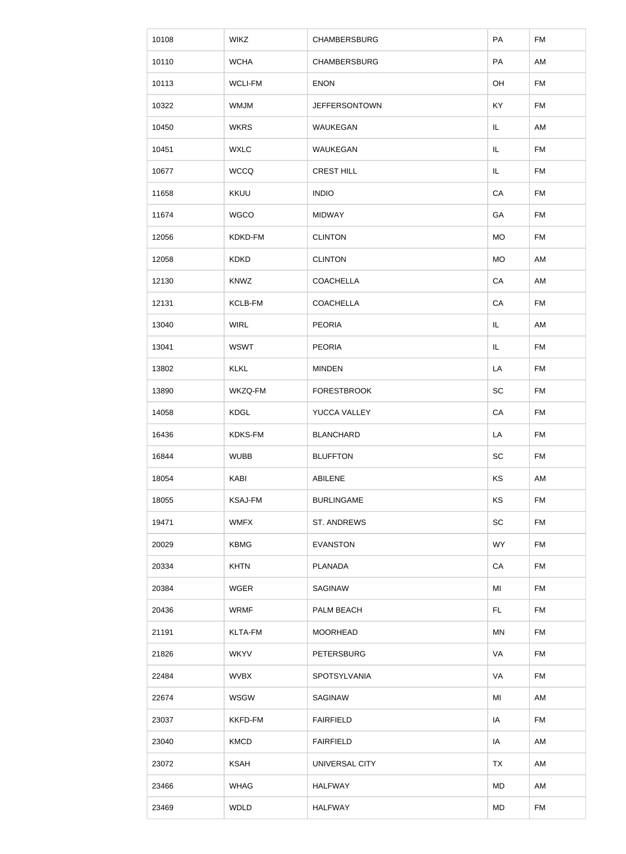| 10108 | <b>WIKZ</b>    | <b>CHAMBERSBURG</b>  | PA         | <b>FM</b> |
|-------|----------------|----------------------|------------|-----------|
| 10110 | <b>WCHA</b>    | <b>CHAMBERSBURG</b>  | PA         | AM        |
| 10113 | <b>WCLI-FM</b> | <b>ENON</b>          | OH         | <b>FM</b> |
| 10322 | <b>WMJM</b>    | <b>JEFFERSONTOWN</b> | <b>KY</b>  | <b>FM</b> |
| 10450 | <b>WKRS</b>    | WAUKEGAN             | IL         | AM        |
| 10451 | <b>WXLC</b>    | WAUKEGAN             | IL         | <b>FM</b> |
| 10677 | <b>WCCQ</b>    | <b>CREST HILL</b>    | IL         | <b>FM</b> |
| 11658 | <b>KKUU</b>    | <b>INDIO</b>         | ${\sf CA}$ | <b>FM</b> |
| 11674 | <b>WGCO</b>    | <b>MIDWAY</b>        | GA         | FM        |
| 12056 | KDKD-FM        | <b>CLINTON</b>       | <b>MO</b>  | <b>FM</b> |
| 12058 | <b>KDKD</b>    | <b>CLINTON</b>       | <b>MO</b>  | AM        |
| 12130 | <b>KNWZ</b>    | <b>COACHELLA</b>     | ${\sf CA}$ | AM        |
| 12131 | KCLB-FM        | <b>COACHELLA</b>     | CA         | FM        |
| 13040 | <b>WIRL</b>    | <b>PEORIA</b>        | IL         | AM        |
| 13041 | <b>WSWT</b>    | <b>PEORIA</b>        | IL         | FM        |
| 13802 | <b>KLKL</b>    | <b>MINDEN</b>        | LA         | FM        |
| 13890 | WKZQ-FM        | <b>FORESTBROOK</b>   | SC         | <b>FM</b> |
| 14058 | <b>KDGL</b>    | YUCCA VALLEY         | CA         | <b>FM</b> |
| 16436 | <b>KDKS-FM</b> | <b>BLANCHARD</b>     | LA         | <b>FM</b> |
| 16844 | <b>WUBB</b>    | <b>BLUFFTON</b>      | SC         | <b>FM</b> |
| 18054 | <b>KABI</b>    | <b>ABILENE</b>       | KS         | AM        |
| 18055 | <b>KSAJ-FM</b> | <b>BURLINGAME</b>    | KS         | <b>FM</b> |
| 19471 | <b>WMFX</b>    | ST. ANDREWS          | SC         | <b>FM</b> |
| 20029 | <b>KBMG</b>    | <b>EVANSTON</b>      | <b>WY</b>  | <b>FM</b> |
| 20334 | <b>KHTN</b>    | <b>PLANADA</b>       | CA         | <b>FM</b> |
| 20384 | <b>WGER</b>    | SAGINAW              | MI         | <b>FM</b> |
| 20436 | <b>WRMF</b>    | PALM BEACH           | FL.        | <b>FM</b> |
| 21191 | <b>KLTA-FM</b> | <b>MOORHEAD</b>      | <b>MN</b>  | <b>FM</b> |
| 21826 | <b>WKYV</b>    | <b>PETERSBURG</b>    | VA         | <b>FM</b> |
| 22484 | <b>WVBX</b>    | SPOTSYLVANIA         | VA         | <b>FM</b> |
| 22674 | <b>WSGW</b>    | SAGINAW              | MI         | AM        |
| 23037 | KKFD-FM        | <b>FAIRFIELD</b>     | IA         | <b>FM</b> |
| 23040 | <b>KMCD</b>    | <b>FAIRFIELD</b>     | IA         | AM        |
| 23072 | <b>KSAH</b>    | UNIVERSAL CITY       | <b>TX</b>  | AM        |
| 23466 | <b>WHAG</b>    | <b>HALFWAY</b>       | MD         | AM        |
| 23469 | <b>WDLD</b>    | <b>HALFWAY</b>       | MD         | <b>FM</b> |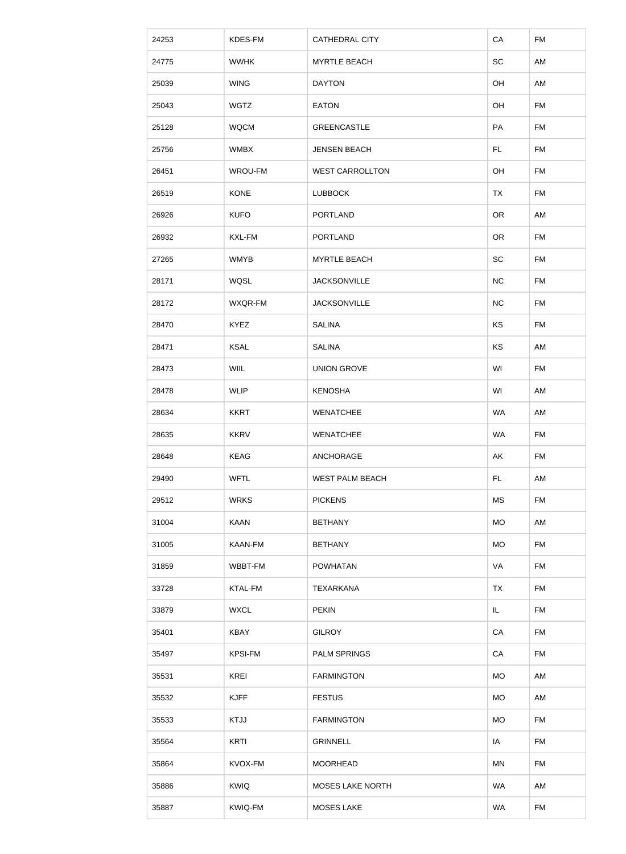| 24253 | KDES-FM        | <b>CATHEDRAL CITY</b>   | CA        | <b>FM</b> |
|-------|----------------|-------------------------|-----------|-----------|
| 24775 | <b>WWHK</b>    | <b>MYRTLE BEACH</b>     | SC        | AM        |
| 25039 | <b>WING</b>    | <b>DAYTON</b>           | OH        | AM        |
| 25043 | <b>WGTZ</b>    | <b>EATON</b>            | OH        | <b>FM</b> |
| 25128 | <b>WQCM</b>    | <b>GREENCASTLE</b>      | PA        | <b>FM</b> |
| 25756 | <b>WMBX</b>    | <b>JENSEN BEACH</b>     | FL.       | <b>FM</b> |
| 26451 | WROU-FM        | <b>WEST CARROLLTON</b>  | OH        | <b>FM</b> |
| 26519 | <b>KONE</b>    | <b>LUBBOCK</b>          | <b>TX</b> | <b>FM</b> |
| 26926 | <b>KUFO</b>    | <b>PORTLAND</b>         | <b>OR</b> | AM        |
| 26932 | KXL-FM         | <b>PORTLAND</b>         | <b>OR</b> | <b>FM</b> |
| 27265 | <b>WMYB</b>    | <b>MYRTLE BEACH</b>     | <b>SC</b> | <b>FM</b> |
| 28171 | WQSL           | <b>JACKSONVILLE</b>     | NC        | <b>FM</b> |
| 28172 | WXQR-FM        | <b>JACKSONVILLE</b>     | NC        | <b>FM</b> |
| 28470 | <b>KYEZ</b>    | <b>SALINA</b>           | KS        | <b>FM</b> |
| 28471 | <b>KSAL</b>    | <b>SALINA</b>           | KS        | AM        |
| 28473 | <b>WIIL</b>    | <b>UNION GROVE</b>      | WI        | FM        |
| 28478 | <b>WLIP</b>    | <b>KENOSHA</b>          | WI        | AM        |
| 28634 | <b>KKRT</b>    | <b>WENATCHEE</b>        | <b>WA</b> | AM        |
| 28635 | <b>KKRV</b>    | <b>WENATCHEE</b>        | <b>WA</b> | <b>FM</b> |
| 28648 | <b>KEAG</b>    | ANCHORAGE               | AK        | <b>FM</b> |
| 29490 | <b>WFTL</b>    | <b>WEST PALM BEACH</b>  | FL.       | AM        |
|       |                |                         |           |           |
| 29512 | <b>WRKS</b>    | <b>PICKENS</b>          | <b>MS</b> | <b>FM</b> |
| 31004 | <b>KAAN</b>    | <b>BETHANY</b>          | <b>MO</b> | AM        |
| 31005 | KAAN-FM        | <b>BETHANY</b>          | <b>MO</b> | <b>FM</b> |
| 31859 | WBBT-FM        | <b>POWHATAN</b>         | VA        | <b>FM</b> |
| 33728 | <b>KTAL-FM</b> | <b>TEXARKANA</b>        | <b>TX</b> | <b>FM</b> |
| 33879 | <b>WXCL</b>    | <b>PEKIN</b>            | IL.       | <b>FM</b> |
| 35401 | <b>KBAY</b>    | <b>GILROY</b>           | CA        | <b>FM</b> |
| 35497 | <b>KPSI-FM</b> | <b>PALM SPRINGS</b>     | CA        | <b>FM</b> |
| 35531 | <b>KREI</b>    | <b>FARMINGTON</b>       | <b>MO</b> | AM        |
| 35532 | <b>KJFF</b>    | <b>FESTUS</b>           | <b>MO</b> | AM        |
| 35533 | <b>KTJJ</b>    | <b>FARMINGTON</b>       | <b>MO</b> | <b>FM</b> |
| 35564 | KRTI           | <b>GRINNELL</b>         | IA        | FM        |
| 35864 | KVOX-FM        | <b>MOORHEAD</b>         | <b>MN</b> | <b>FM</b> |
| 35886 | <b>KWIQ</b>    | <b>MOSES LAKE NORTH</b> | WA        | AM        |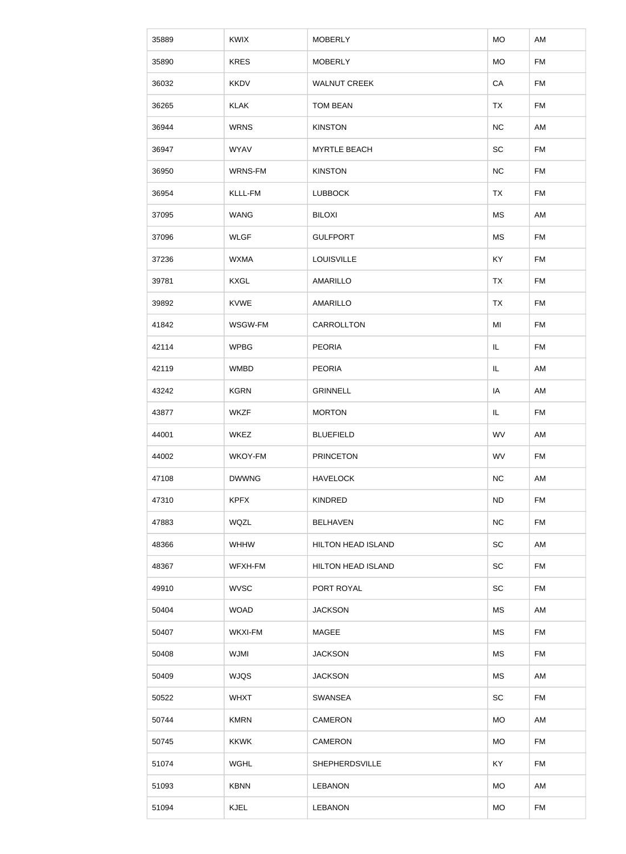| 35889 | <b>KWIX</b>    | <b>MOBERLY</b>            | <b>MO</b> | AM        |
|-------|----------------|---------------------------|-----------|-----------|
| 35890 | <b>KRES</b>    | <b>MOBERLY</b>            | <b>MO</b> | <b>FM</b> |
| 36032 | <b>KKDV</b>    | <b>WALNUT CREEK</b>       | CA        | FM        |
| 36265 | <b>KLAK</b>    | <b>TOM BEAN</b>           | <b>TX</b> | <b>FM</b> |
| 36944 | <b>WRNS</b>    | <b>KINSTON</b>            | NC        | AM        |
| 36947 | <b>WYAV</b>    | <b>MYRTLE BEACH</b>       | SC        | <b>FM</b> |
| 36950 | WRNS-FM        | <b>KINSTON</b>            | NC        | <b>FM</b> |
| 36954 | KLLL-FM        | <b>LUBBOCK</b>            | <b>TX</b> | <b>FM</b> |
| 37095 | <b>WANG</b>    | <b>BILOXI</b>             | MS        | AM        |
| 37096 | <b>WLGF</b>    | <b>GULFPORT</b>           | <b>MS</b> | <b>FM</b> |
| 37236 | <b>WXMA</b>    | <b>LOUISVILLE</b>         | KY        | FM        |
| 39781 | <b>KXGL</b>    | <b>AMARILLO</b>           | <b>TX</b> | FM        |
| 39892 | <b>KVWE</b>    | <b>AMARILLO</b>           | <b>TX</b> | FM        |
| 41842 | WSGW-FM        | CARROLLTON                | MI        | <b>FM</b> |
| 42114 | <b>WPBG</b>    | <b>PEORIA</b>             | IL.       | FM        |
| 42119 | <b>WMBD</b>    | <b>PEORIA</b>             | IL.       | AM        |
| 43242 | <b>KGRN</b>    | <b>GRINNELL</b>           | IA        | AM        |
| 43877 | <b>WKZF</b>    | <b>MORTON</b>             | IL.       | <b>FM</b> |
| 44001 | <b>WKEZ</b>    | <b>BLUEFIELD</b>          | <b>WV</b> | AM        |
| 44002 | WKOY-FM        | <b>PRINCETON</b>          | <b>WV</b> | <b>FM</b> |
| 47108 | <b>DWWNG</b>   | <b>HAVELOCK</b>           | NC        | AM        |
| 47310 | <b>KPFX</b>    | <b>KINDRED</b>            | <b>ND</b> | <b>FM</b> |
| 47883 | <b>WQZL</b>    | <b>BELHAVEN</b>           | NC        | <b>FM</b> |
| 48366 | <b>WHHW</b>    | <b>HILTON HEAD ISLAND</b> | <b>SC</b> | AM        |
| 48367 | WFXH-FM        | <b>HILTON HEAD ISLAND</b> | <b>SC</b> | <b>FM</b> |
| 49910 | <b>WVSC</b>    | PORT ROYAL                | SC        | <b>FM</b> |
| 50404 | <b>WOAD</b>    | <b>JACKSON</b>            | <b>MS</b> | AM        |
| 50407 | <b>WKXI-FM</b> | <b>MAGEE</b>              | <b>MS</b> | <b>FM</b> |
| 50408 | <b>WJMI</b>    | <b>JACKSON</b>            | <b>MS</b> | <b>FM</b> |
| 50409 | <b>WJQS</b>    | <b>JACKSON</b>            | <b>MS</b> | AM        |
| 50522 | <b>WHXT</b>    | SWANSEA                   | <b>SC</b> | <b>FM</b> |
| 50744 | <b>KMRN</b>    | <b>CAMERON</b>            | <b>MO</b> | AM        |
| 50745 | <b>KKWK</b>    | CAMERON                   | <b>MO</b> | <b>FM</b> |
| 51074 | <b>WGHL</b>    | SHEPHERDSVILLE            | KY        | <b>FM</b> |
| 51093 | <b>KBNN</b>    | <b>LEBANON</b>            | <b>MO</b> | AM        |
| 51094 | <b>KJEL</b>    | <b>LEBANON</b>            | <b>MO</b> | <b>FM</b> |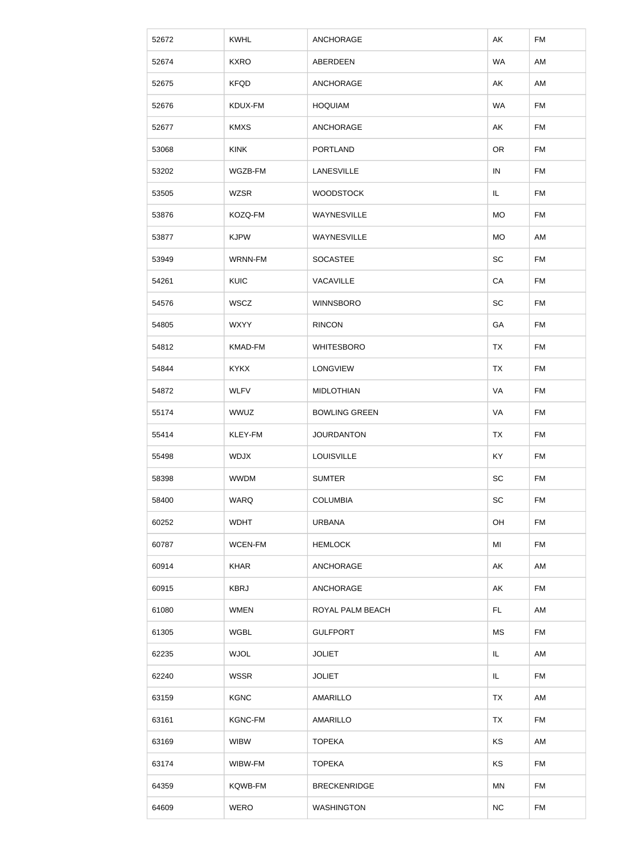| 52672 | <b>KWHL</b>    | <b>ANCHORAGE</b>     | AK         | <b>FM</b> |
|-------|----------------|----------------------|------------|-----------|
| 52674 | <b>KXRO</b>    | ABERDEEN             | <b>WA</b>  | AM        |
| 52675 | <b>KFQD</b>    | ANCHORAGE            | AK         | AM        |
| 52676 | KDUX-FM        | <b>HOQUIAM</b>       | <b>WA</b>  | <b>FM</b> |
| 52677 | <b>KMXS</b>    | ANCHORAGE            | AK         | FM        |
| 53068 | <b>KINK</b>    | <b>PORTLAND</b>      | <b>OR</b>  | <b>FM</b> |
| 53202 | WGZB-FM        | <b>LANESVILLE</b>    | $\sf IN$   | <b>FM</b> |
| 53505 | <b>WZSR</b>    | <b>WOODSTOCK</b>     | IL         | FM        |
| 53876 | KOZQ-FM        | WAYNESVILLE          | <b>MO</b>  | FM        |
| 53877 | <b>KJPW</b>    | WAYNESVILLE          | <b>MO</b>  | AM        |
| 53949 | WRNN-FM        | <b>SOCASTEE</b>      | SC         | <b>FM</b> |
| 54261 | <b>KUIC</b>    | VACAVILLE            | ${\sf CA}$ | <b>FM</b> |
| 54576 | WSCZ           | <b>WINNSBORO</b>     | <b>SC</b>  | <b>FM</b> |
| 54805 | <b>WXYY</b>    | <b>RINCON</b>        | GA         | <b>FM</b> |
| 54812 | <b>KMAD-FM</b> | <b>WHITESBORO</b>    | <b>TX</b>  | <b>FM</b> |
| 54844 | <b>KYKX</b>    | <b>LONGVIEW</b>      | TX         | FM        |
| 54872 | <b>WLFV</b>    | <b>MIDLOTHIAN</b>    | VA         | <b>FM</b> |
| 55174 | <b>WWUZ</b>    | <b>BOWLING GREEN</b> | VA         | <b>FM</b> |
| 55414 | KLEY-FM        | <b>JOURDANTON</b>    | <b>TX</b>  | <b>FM</b> |
| 55498 | <b>WDJX</b>    | <b>LOUISVILLE</b>    | <b>KY</b>  | <b>FM</b> |
| 58398 | <b>WWDM</b>    | <b>SUMTER</b>        | SC         | <b>FM</b> |
| 58400 | <b>WARQ</b>    | <b>COLUMBIA</b>      | SC         | <b>FM</b> |
| 60252 | <b>WDHT</b>    | <b>URBANA</b>        | OH         | <b>FM</b> |
| 60787 | WCEN-FM        | <b>HEMLOCK</b>       | MI         | <b>FM</b> |
| 60914 | <b>KHAR</b>    | ANCHORAGE            | AK         | AM        |
| 60915 | <b>KBRJ</b>    | ANCHORAGE            | AK         | <b>FM</b> |
| 61080 | <b>WMEN</b>    | ROYAL PALM BEACH     | FL.        | AM        |
| 61305 | <b>WGBL</b>    | <b>GULFPORT</b>      | <b>MS</b>  | <b>FM</b> |
| 62235 | <b>WJOL</b>    | <b>JOLIET</b>        | IL         | AM        |
| 62240 | <b>WSSR</b>    | <b>JOLIET</b>        | IL.        | <b>FM</b> |
| 63159 | <b>KGNC</b>    | <b>AMARILLO</b>      | <b>TX</b>  | AM        |
|       |                |                      |            |           |
| 63161 | <b>KGNC-FM</b> | <b>AMARILLO</b>      | <b>TX</b>  | <b>FM</b> |
| 63169 | <b>WIBW</b>    | <b>TOPEKA</b>        | KS         | AM        |
| 63174 | WIBW-FM        | <b>TOPEKA</b>        | KS         | <b>FM</b> |
| 64359 | KQWB-FM        | <b>BRECKENRIDGE</b>  | MN         | <b>FM</b> |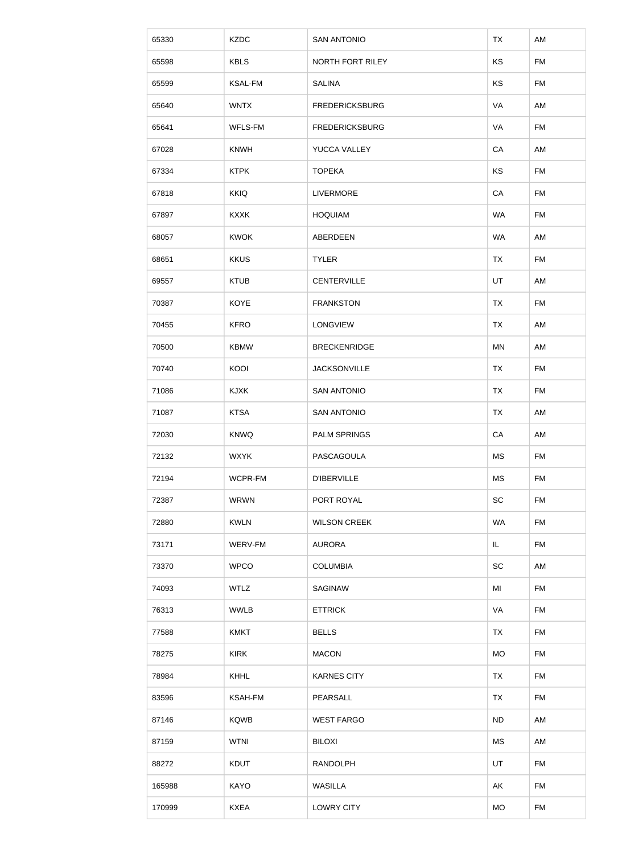| 65330  | <b>KZDC</b>    | <b>SAN ANTONIO</b>    | <b>TX</b>  | AM        |
|--------|----------------|-----------------------|------------|-----------|
| 65598  | <b>KBLS</b>    | NORTH FORT RILEY      | KS         | <b>FM</b> |
| 65599  | <b>KSAL-FM</b> | <b>SALINA</b>         | KS         | FM        |
| 65640  | <b>WNTX</b>    | <b>FREDERICKSBURG</b> | VA         | AM        |
| 65641  | WFLS-FM        | <b>FREDERICKSBURG</b> | VA         | <b>FM</b> |
| 67028  | <b>KNWH</b>    | YUCCA VALLEY          | CA         | AM        |
| 67334  | <b>KTPK</b>    | <b>TOPEKA</b>         | KS         | <b>FM</b> |
| 67818  | <b>KKIQ</b>    | <b>LIVERMORE</b>      | ${\sf CA}$ | <b>FM</b> |
| 67897  | <b>KXXK</b>    | <b>HOQUIAM</b>        | <b>WA</b>  | FM        |
| 68057  | <b>KWOK</b>    | ABERDEEN              | <b>WA</b>  | AM        |
| 68651  | <b>KKUS</b>    | <b>TYLER</b>          | <b>TX</b>  | <b>FM</b> |
| 69557  | <b>KTUB</b>    | <b>CENTERVILLE</b>    | UT         | AM        |
| 70387  | <b>KOYE</b>    | <b>FRANKSTON</b>      | <b>TX</b>  | <b>FM</b> |
| 70455  | <b>KFRO</b>    | LONGVIEW              | <b>TX</b>  | AM        |
| 70500  | <b>KBMW</b>    | <b>BRECKENRIDGE</b>   | MN         | AM        |
| 70740  | KOOI           | <b>JACKSONVILLE</b>   | <b>TX</b>  | <b>FM</b> |
| 71086  | <b>KJXK</b>    | <b>SAN ANTONIO</b>    | <b>TX</b>  | <b>FM</b> |
| 71087  | <b>KTSA</b>    | <b>SAN ANTONIO</b>    | <b>TX</b>  | AM        |
| 72030  | <b>KNWQ</b>    | <b>PALM SPRINGS</b>   | CA         | AM        |
| 72132  | <b>WXYK</b>    | PASCAGOULA            | <b>MS</b>  | <b>FM</b> |
| 72194  | WCPR-FM        | <b>D'IBERVILLE</b>    | <b>MS</b>  | <b>FM</b> |
| 72387  | <b>WRWN</b>    | PORT ROYAL            | SC         | <b>FM</b> |
| 72880  | <b>KWLN</b>    | <b>WILSON CREEK</b>   | <b>WA</b>  | <b>FM</b> |
| 73171  | WERV-FM        | <b>AURORA</b>         | IL.        | <b>FM</b> |
| 73370  | <b>WPCO</b>    | <b>COLUMBIA</b>       | SC         | AM        |
| 74093  | <b>WTLZ</b>    | SAGINAW               | MI         | <b>FM</b> |
| 76313  | <b>WWLB</b>    | <b>ETTRICK</b>        | VA         | <b>FM</b> |
| 77588  | <b>KMKT</b>    | <b>BELLS</b>          | <b>TX</b>  | <b>FM</b> |
| 78275  | <b>KIRK</b>    | <b>MACON</b>          | <b>MO</b>  | <b>FM</b> |
| 78984  | <b>KHHL</b>    | <b>KARNES CITY</b>    | <b>TX</b>  | <b>FM</b> |
| 83596  | <b>KSAH-FM</b> | PEARSALL              | <b>TX</b>  | <b>FM</b> |
| 87146  | <b>KQWB</b>    | <b>WEST FARGO</b>     | <b>ND</b>  | AM        |
| 87159  | <b>WTNI</b>    | <b>BILOXI</b>         | MS         | AM        |
| 88272  | <b>KDUT</b>    | <b>RANDOLPH</b>       | UT         | <b>FM</b> |
| 165988 | <b>KAYO</b>    | <b>WASILLA</b>        | AK         | <b>FM</b> |
| 170999 | <b>KXEA</b>    | <b>LOWRY CITY</b>     | <b>MO</b>  | <b>FM</b> |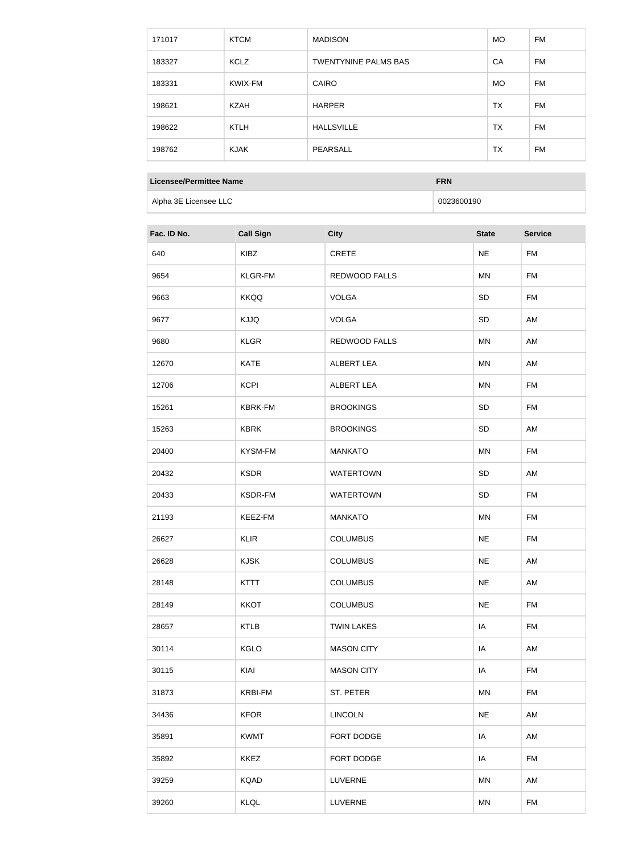| 171017 | <b>KTCM</b> | <b>MADISON</b>              | <b>MO</b> | FM.       |
|--------|-------------|-----------------------------|-----------|-----------|
| 183327 | KCLZ        | <b>TWENTYNINE PALMS BAS</b> | CA        | FM.       |
| 183331 | KWIX-FM     | <b>CAIRO</b>                | <b>MO</b> | <b>FM</b> |
| 198621 | <b>KZAH</b> | <b>HARPER</b>               | <b>TX</b> | FM.       |
| 198622 | <b>KTLH</b> | <b>HALLSVILLE</b>           | <b>TX</b> | FM.       |
| 198762 | <b>KJAK</b> | PEARSALL                    | <b>TX</b> | <b>FM</b> |

#### **Licensee/Permittee Name FRN**

Alpha 3E Licensee LLC and the control of the control of the control of the control of the control of the control of the control of the control of the control of the control of the control of the control of the control of t

| Fac. ID No. | <b>Call Sign</b> | <b>City</b>          | <b>State</b> | <b>Service</b> |
|-------------|------------------|----------------------|--------------|----------------|
| 640         | <b>KIBZ</b>      | CRETE                | <b>NE</b>    | <b>FM</b>      |
| 9654        | <b>KLGR-FM</b>   | <b>REDWOOD FALLS</b> | MN           | <b>FM</b>      |
| 9663        | <b>KKQQ</b>      | <b>VOLGA</b>         | SD           | <b>FM</b>      |
| 9677        | <b>KJJQ</b>      | <b>VOLGA</b>         | SD           | AM             |
| 9680        | <b>KLGR</b>      | REDWOOD FALLS        | MN           | AM             |
| 12670       | <b>KATE</b>      | <b>ALBERT LEA</b>    | <b>MN</b>    | AM             |
| 12706       | <b>KCPI</b>      | ALBERT LEA           | <b>MN</b>    | <b>FM</b>      |
| 15261       | <b>KBRK-FM</b>   | <b>BROOKINGS</b>     | SD           | <b>FM</b>      |
| 15263       | <b>KBRK</b>      | <b>BROOKINGS</b>     | SD           | AM             |
| 20400       | KYSM-FM          | <b>MANKATO</b>       | MN           | <b>FM</b>      |
| 20432       | <b>KSDR</b>      | <b>WATERTOWN</b>     | SD           | AM             |
| 20433       | KSDR-FM          | <b>WATERTOWN</b>     | SD           | <b>FM</b>      |
| 21193       | KEEZ-FM          | <b>MANKATO</b>       | MN           | <b>FM</b>      |
| 26627       | <b>KLIR</b>      | <b>COLUMBUS</b>      | <b>NE</b>    | <b>FM</b>      |
| 26628       | <b>KJSK</b>      | <b>COLUMBUS</b>      | <b>NE</b>    | AM             |
| 28148       | <b>KTTT</b>      | <b>COLUMBUS</b>      | <b>NE</b>    | AM             |
| 28149       | <b>KKOT</b>      | <b>COLUMBUS</b>      | <b>NE</b>    | <b>FM</b>      |
| 28657       | <b>KTLB</b>      | <b>TWIN LAKES</b>    | IA           | <b>FM</b>      |
| 30114       | <b>KGLO</b>      | <b>MASON CITY</b>    | IA           | AM             |
| 30115       | KIAI             | <b>MASON CITY</b>    | IA           | <b>FM</b>      |
| 31873       | <b>KRBI-FM</b>   | ST. PETER            | <b>MN</b>    | <b>FM</b>      |
| 34436       | <b>KFOR</b>      | <b>LINCOLN</b>       | <b>NE</b>    | AM             |
| 35891       | <b>KWMT</b>      | FORT DODGE           | IA           | AM             |
| 35892       | <b>KKEZ</b>      | FORT DODGE           | IA           | <b>FM</b>      |
| 39259       | <b>KQAD</b>      | LUVERNE              | MN           | AM             |
| 39260       | KLQL             | LUVERNE              | MN           | <b>FM</b>      |
|             |                  |                      |              |                |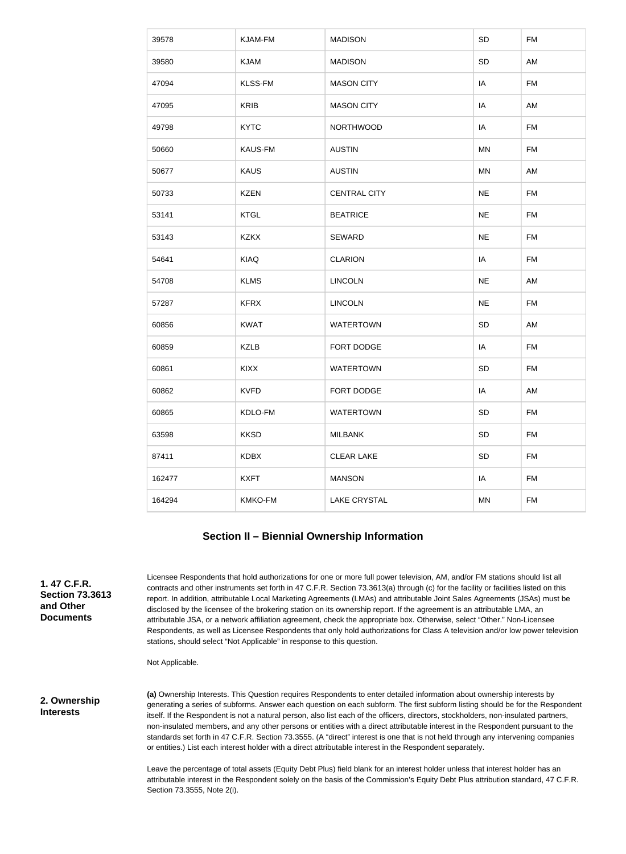| 39578  | KJAM-FM        | <b>MADISON</b>      | SD        | <b>FM</b> |
|--------|----------------|---------------------|-----------|-----------|
| 39580  | <b>KJAM</b>    | <b>MADISON</b>      | SD        | AM        |
| 47094  | <b>KLSS-FM</b> | <b>MASON CITY</b>   | IA        | <b>FM</b> |
| 47095  | <b>KRIB</b>    | <b>MASON CITY</b>   | IA        | AM        |
| 49798  | <b>KYTC</b>    | <b>NORTHWOOD</b>    | IA        | <b>FM</b> |
| 50660  | <b>KAUS-FM</b> | <b>AUSTIN</b>       | MN        | FM        |
| 50677  | <b>KAUS</b>    | <b>AUSTIN</b>       | <b>MN</b> | AM        |
| 50733  | <b>KZEN</b>    | <b>CENTRAL CITY</b> | <b>NE</b> | <b>FM</b> |
| 53141  | <b>KTGL</b>    | <b>BEATRICE</b>     | <b>NE</b> | <b>FM</b> |
| 53143  | <b>KZKX</b>    | <b>SEWARD</b>       | <b>NE</b> | <b>FM</b> |
| 54641  | <b>KIAQ</b>    | <b>CLARION</b>      | IA        | <b>FM</b> |
| 54708  | <b>KLMS</b>    | <b>LINCOLN</b>      | <b>NE</b> | AM        |
| 57287  | <b>KFRX</b>    | <b>LINCOLN</b>      | <b>NE</b> | <b>FM</b> |
| 60856  | <b>KWAT</b>    | <b>WATERTOWN</b>    | SD        | AM        |
| 60859  | <b>KZLB</b>    | FORT DODGE          | IA        | <b>FM</b> |
| 60861  | <b>KIXX</b>    | <b>WATERTOWN</b>    | SD        | <b>FM</b> |
| 60862  | <b>KVFD</b>    | FORT DODGE          | IA        | AM        |
| 60865  | KDLO-FM        | <b>WATERTOWN</b>    | SD        | <b>FM</b> |
| 63598  | <b>KKSD</b>    | <b>MILBANK</b>      | SD        | <b>FM</b> |
| 87411  | <b>KDBX</b>    | <b>CLEAR LAKE</b>   | SD        | <b>FM</b> |
| 162477 | <b>KXFT</b>    | <b>MANSON</b>       | IA        | <b>FM</b> |
| 164294 | KMKO-FM        | <b>LAKE CRYSTAL</b> | MN        | <b>FM</b> |

### **Section II – Biennial Ownership Information**

**1. 47 C.F.R. Section 73.3613 and Other Documents**

Licensee Respondents that hold authorizations for one or more full power television, AM, and/or FM stations should list all contracts and other instruments set forth in 47 C.F.R. Section 73.3613(a) through (c) for the facility or facilities listed on this report. In addition, attributable Local Marketing Agreements (LMAs) and attributable Joint Sales Agreements (JSAs) must be disclosed by the licensee of the brokering station on its ownership report. If the agreement is an attributable LMA, an attributable JSA, or a network affiliation agreement, check the appropriate box. Otherwise, select "Other." Non-Licensee Respondents, as well as Licensee Respondents that only hold authorizations for Class A television and/or low power television stations, should select "Not Applicable" in response to this question.

Not Applicable.

**2. Ownership Interests**

**(a)** Ownership Interests. This Question requires Respondents to enter detailed information about ownership interests by generating a series of subforms. Answer each question on each subform. The first subform listing should be for the Respondent itself. If the Respondent is not a natural person, also list each of the officers, directors, stockholders, non-insulated partners, non-insulated members, and any other persons or entities with a direct attributable interest in the Respondent pursuant to the standards set forth in 47 C.F.R. Section 73.3555. (A "direct" interest is one that is not held through any intervening companies or entities.) List each interest holder with a direct attributable interest in the Respondent separately.

Leave the percentage of total assets (Equity Debt Plus) field blank for an interest holder unless that interest holder has an attributable interest in the Respondent solely on the basis of the Commission's Equity Debt Plus attribution standard, 47 C.F.R. Section 73.3555, Note 2(i).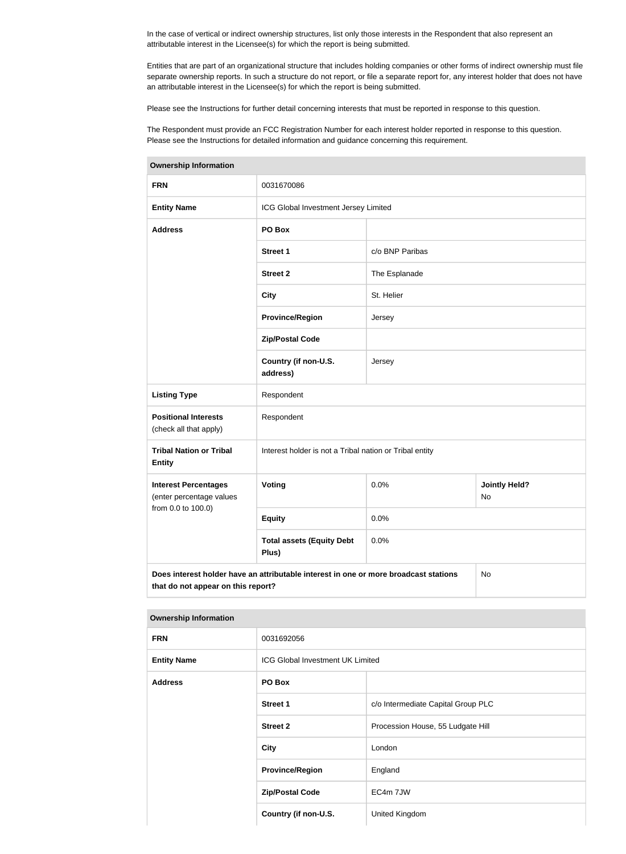In the case of vertical or indirect ownership structures, list only those interests in the Respondent that also represent an attributable interest in the Licensee(s) for which the report is being submitted.

Entities that are part of an organizational structure that includes holding companies or other forms of indirect ownership must file separate ownership reports. In such a structure do not report, or file a separate report for, any interest holder that does not have an attributable interest in the Licensee(s) for which the report is being submitted.

Please see the Instructions for further detail concerning interests that must be reported in response to this question.

The Respondent must provide an FCC Registration Number for each interest holder reported in response to this question. Please see the Instructions for detailed information and guidance concerning this requirement.

| ווטווועוווט וווווא וטוויט ש                             |                                                                                                                                  |                 |                            |
|---------------------------------------------------------|----------------------------------------------------------------------------------------------------------------------------------|-----------------|----------------------------|
| <b>FRN</b>                                              | 0031670086                                                                                                                       |                 |                            |
| <b>Entity Name</b>                                      | ICG Global Investment Jersey Limited                                                                                             |                 |                            |
| <b>Address</b>                                          | PO Box                                                                                                                           |                 |                            |
|                                                         | Street 1                                                                                                                         | c/o BNP Paribas |                            |
|                                                         | <b>Street 2</b>                                                                                                                  | The Esplanade   |                            |
|                                                         | <b>City</b>                                                                                                                      | St. Helier      |                            |
|                                                         | <b>Province/Region</b>                                                                                                           | Jersey          |                            |
|                                                         | <b>Zip/Postal Code</b>                                                                                                           |                 |                            |
|                                                         | Country (if non-U.S.<br>address)                                                                                                 | Jersey          |                            |
| <b>Listing Type</b>                                     | Respondent                                                                                                                       |                 |                            |
| <b>Positional Interests</b><br>(check all that apply)   | Respondent                                                                                                                       |                 |                            |
| <b>Tribal Nation or Tribal</b><br><b>Entity</b>         | Interest holder is not a Tribal nation or Tribal entity                                                                          |                 |                            |
| <b>Interest Percentages</b><br>(enter percentage values | Voting                                                                                                                           | 0.0%            | <b>Jointly Held?</b><br>No |
| from 0.0 to 100.0)                                      | <b>Equity</b>                                                                                                                    | 0.0%            |                            |
|                                                         | <b>Total assets (Equity Debt</b><br>Plus)                                                                                        | 0.0%            |                            |
|                                                         | Does interest holder have an attributable interest in one or more broadcast stations<br>No<br>that do not appear on this report? |                 |                            |

#### **Ownership Information**

#### **Ownership Information**

| <b>FRN</b>         | 0031692056                              |                                    |
|--------------------|-----------------------------------------|------------------------------------|
| <b>Entity Name</b> | <b>ICG Global Investment UK Limited</b> |                                    |
| <b>Address</b>     | PO Box                                  |                                    |
|                    | <b>Street 1</b>                         | c/o Intermediate Capital Group PLC |
|                    | <b>Street 2</b>                         | Procession House, 55 Ludgate Hill  |
|                    | <b>City</b>                             | London                             |
|                    | <b>Province/Region</b>                  | England                            |
|                    | <b>Zip/Postal Code</b>                  | EC4m 7JW                           |
|                    | Country (if non-U.S.                    | United Kingdom                     |
|                    |                                         |                                    |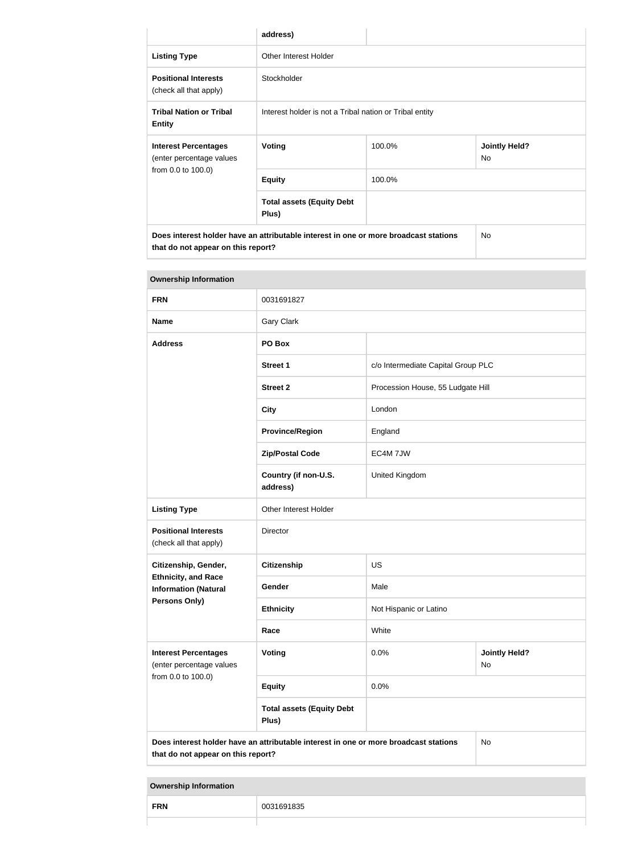|                                                                                                                            | address)                                                |        |                             |
|----------------------------------------------------------------------------------------------------------------------------|---------------------------------------------------------|--------|-----------------------------|
| <b>Listing Type</b>                                                                                                        | Other Interest Holder                                   |        |                             |
| <b>Positional Interests</b><br>(check all that apply)                                                                      | Stockholder                                             |        |                             |
| <b>Tribal Nation or Tribal</b><br><b>Entity</b>                                                                            | Interest holder is not a Tribal nation or Tribal entity |        |                             |
| <b>Interest Percentages</b><br>(enter percentage values                                                                    | <b>Voting</b>                                           | 100.0% | <b>Jointly Held?</b><br>No. |
| from 0.0 to 100.0)                                                                                                         | <b>Equity</b>                                           | 100.0% |                             |
|                                                                                                                            | <b>Total assets (Equity Debt</b><br>Plus)               |        |                             |
| Does interest holder have an attributable interest in one or more broadcast stations<br>that do not appear on this report? |                                                         | No.    |                             |

| <b>Ownership Information</b>                                                  |                                                                                      |                                   |                                    |  |
|-------------------------------------------------------------------------------|--------------------------------------------------------------------------------------|-----------------------------------|------------------------------------|--|
| <b>FRN</b>                                                                    | 0031691827                                                                           |                                   |                                    |  |
| <b>Name</b>                                                                   | <b>Gary Clark</b>                                                                    |                                   |                                    |  |
| <b>Address</b>                                                                | PO Box                                                                               |                                   |                                    |  |
|                                                                               | <b>Street 1</b>                                                                      |                                   | c/o Intermediate Capital Group PLC |  |
|                                                                               | <b>Street 2</b>                                                                      | Procession House, 55 Ludgate Hill |                                    |  |
|                                                                               | <b>City</b>                                                                          | London                            |                                    |  |
|                                                                               | <b>Province/Region</b>                                                               | England                           |                                    |  |
|                                                                               | <b>Zip/Postal Code</b>                                                               | EC4M 7JW                          |                                    |  |
|                                                                               | Country (if non-U.S.<br>address)                                                     | United Kingdom                    |                                    |  |
| <b>Listing Type</b>                                                           | Other Interest Holder                                                                |                                   |                                    |  |
| <b>Positional Interests</b><br>(check all that apply)                         | Director                                                                             |                                   |                                    |  |
| Citizenship, Gender,                                                          | <b>Citizenship</b>                                                                   | <b>US</b>                         |                                    |  |
| <b>Ethnicity, and Race</b><br><b>Information (Natural</b>                     | Gender                                                                               | Male                              |                                    |  |
| Persons Only)                                                                 | <b>Ethnicity</b>                                                                     | Not Hispanic or Latino            |                                    |  |
|                                                                               | Race                                                                                 | White                             |                                    |  |
| <b>Interest Percentages</b><br>(enter percentage values<br>from 0.0 to 100.0) | Voting                                                                               | 0.0%                              | <b>Jointly Held?</b><br>No         |  |
|                                                                               | <b>Equity</b>                                                                        | 0.0%                              |                                    |  |
|                                                                               | <b>Total assets (Equity Debt</b><br>Plus)                                            |                                   |                                    |  |
| that do not appear on this report?                                            | Does interest holder have an attributable interest in one or more broadcast stations |                                   | No                                 |  |

#### **Ownership Information**

| <b>FRN</b> | ิ่งก<br>ರುವ |
|------------|-------------|
|            |             |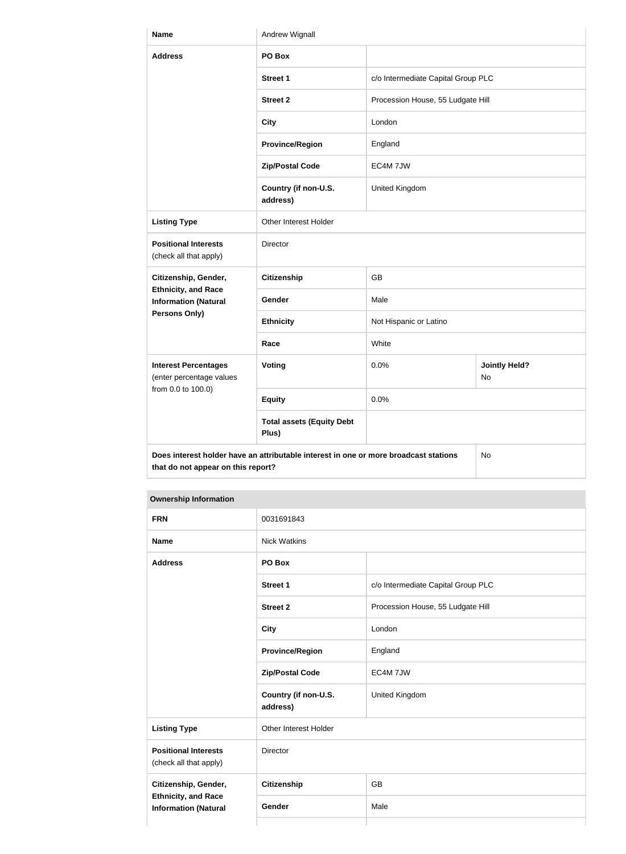| <b>Name</b>                                               | Andrew Wignall                                                                       |                                    |                            |
|-----------------------------------------------------------|--------------------------------------------------------------------------------------|------------------------------------|----------------------------|
| <b>Address</b>                                            | PO Box                                                                               |                                    |                            |
|                                                           | <b>Street 1</b>                                                                      | c/o Intermediate Capital Group PLC |                            |
|                                                           | <b>Street 2</b>                                                                      | Procession House, 55 Ludgate Hill  |                            |
|                                                           | <b>City</b>                                                                          | London                             |                            |
|                                                           | <b>Province/Region</b>                                                               | England                            |                            |
|                                                           | <b>Zip/Postal Code</b>                                                               | EC4M 7JW                           |                            |
|                                                           | Country (if non-U.S.<br>address)                                                     | United Kingdom                     |                            |
| <b>Listing Type</b>                                       | Other Interest Holder                                                                |                                    |                            |
| <b>Positional Interests</b><br>(check all that apply)     | Director                                                                             |                                    |                            |
| Citizenship, Gender,                                      | <b>Citizenship</b>                                                                   | <b>GB</b>                          |                            |
| <b>Ethnicity, and Race</b><br><b>Information (Natural</b> | <b>Gender</b>                                                                        | Male                               |                            |
| <b>Persons Only)</b>                                      | <b>Ethnicity</b>                                                                     | Not Hispanic or Latino             |                            |
|                                                           | Race                                                                                 | White                              |                            |
| <b>Interest Percentages</b><br>(enter percentage values   | <b>Voting</b>                                                                        | 0.0%                               | <b>Jointly Held?</b><br>No |
| from 0.0 to 100.0)                                        | <b>Equity</b>                                                                        | 0.0%                               |                            |
|                                                           | <b>Total assets (Equity Debt</b><br>Plus)                                            |                                    |                            |
| that do not appear on this report?                        | Does interest holder have an attributable interest in one or more broadcast stations |                                    | No                         |

#### **Ownership Information**

| <b>FRN</b>                                                                        | 0031691843                       |                                    |
|-----------------------------------------------------------------------------------|----------------------------------|------------------------------------|
| <b>Name</b>                                                                       | <b>Nick Watkins</b>              |                                    |
| <b>Address</b>                                                                    | PO Box                           |                                    |
|                                                                                   | <b>Street 1</b>                  | c/o Intermediate Capital Group PLC |
|                                                                                   | <b>Street 2</b>                  | Procession House, 55 Ludgate Hill  |
|                                                                                   | <b>City</b>                      | London                             |
|                                                                                   | <b>Province/Region</b>           | England                            |
|                                                                                   | <b>Zip/Postal Code</b>           | EC4M 7JW                           |
|                                                                                   | Country (if non-U.S.<br>address) | United Kingdom                     |
| <b>Listing Type</b>                                                               | Other Interest Holder            |                                    |
| <b>Positional Interests</b><br>(check all that apply)                             | Director                         |                                    |
| Citizenship, Gender,<br><b>Ethnicity, and Race</b><br><b>Information (Natural</b> | Citizenship                      | <b>GB</b>                          |
|                                                                                   | Gender                           | Male                               |
|                                                                                   |                                  |                                    |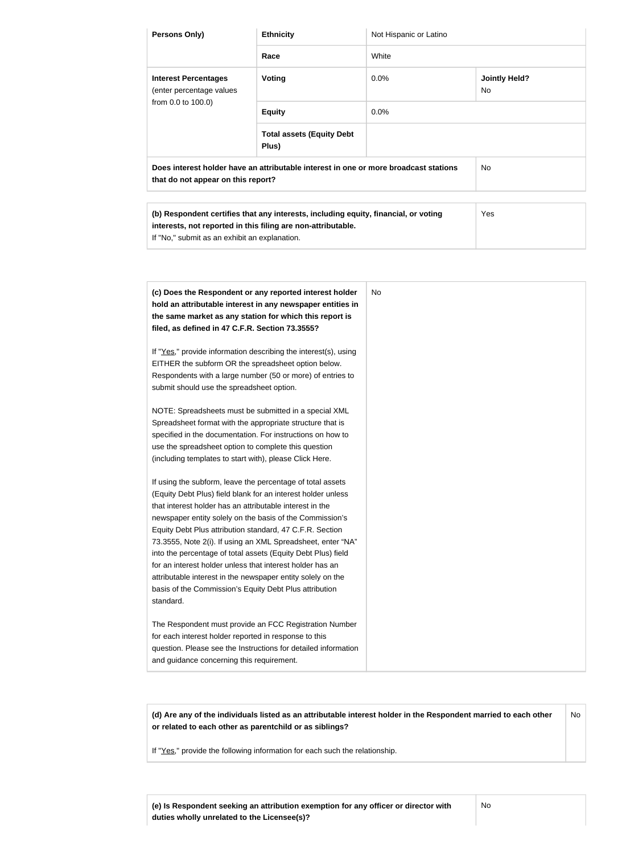| Persons Only)                                                                                                                                                                                        | <b>Ethnicity</b>                          | Not Hispanic or Latino |                             |
|------------------------------------------------------------------------------------------------------------------------------------------------------------------------------------------------------|-------------------------------------------|------------------------|-----------------------------|
|                                                                                                                                                                                                      | Race                                      | White                  |                             |
| <b>Interest Percentages</b><br>(enter percentage values<br>from 0.0 to 100.0)                                                                                                                        | <b>Voting</b>                             | 0.0%                   | <b>Jointly Held?</b><br>No. |
|                                                                                                                                                                                                      | <b>Equity</b>                             | 0.0%                   |                             |
|                                                                                                                                                                                                      | <b>Total assets (Equity Debt</b><br>Plus) |                        |                             |
| Does interest holder have an attributable interest in one or more broadcast stations<br>that do not appear on this report?                                                                           |                                           | No.                    |                             |
|                                                                                                                                                                                                      |                                           |                        |                             |
| (b) Respondent certifies that any interests, including equity, financial, or voting<br>interests, not reported in this filing are non-attributable.<br>If "No," submit as an exhibit an explanation. |                                           | Yes                    |                             |

| (c) Does the Respondent or any reported interest holder         | No. |
|-----------------------------------------------------------------|-----|
| hold an attributable interest in any newspaper entities in      |     |
| the same market as any station for which this report is         |     |
| filed, as defined in 47 C.F.R. Section 73.3555?                 |     |
| If "Yes," provide information describing the interest(s), using |     |
| EITHER the subform OR the spreadsheet option below.             |     |
| Respondents with a large number (50 or more) of entries to      |     |
| submit should use the spreadsheet option.                       |     |
| NOTE: Spreadsheets must be submitted in a special XML           |     |
| Spreadsheet format with the appropriate structure that is       |     |
| specified in the documentation. For instructions on how to      |     |
| use the spreadsheet option to complete this question            |     |
| (including templates to start with), please Click Here.         |     |
| If using the subform, leave the percentage of total assets      |     |
| (Equity Debt Plus) field blank for an interest holder unless    |     |
| that interest holder has an attributable interest in the        |     |
| newspaper entity solely on the basis of the Commission's        |     |
| Equity Debt Plus attribution standard, 47 C.F.R. Section        |     |
| 73.3555, Note 2(i). If using an XML Spreadsheet, enter "NA"     |     |
| into the percentage of total assets (Equity Debt Plus) field    |     |
| for an interest holder unless that interest holder has an       |     |
| attributable interest in the newspaper entity solely on the     |     |
| basis of the Commission's Equity Debt Plus attribution          |     |
| standard.                                                       |     |
| The Respondent must provide an FCC Registration Number          |     |
| for each interest holder reported in response to this           |     |
| question. Please see the Instructions for detailed information  |     |
| and guidance concerning this requirement.                       |     |

**(d) Are any of the individuals listed as an attributable interest holder in the Respondent married to each other or related to each other as parentchild or as siblings?** No

If "Yes," provide the following information for each such the relationship.

**(e) Is Respondent seeking an attribution exemption for any officer or director with duties wholly unrelated to the Licensee(s)?**